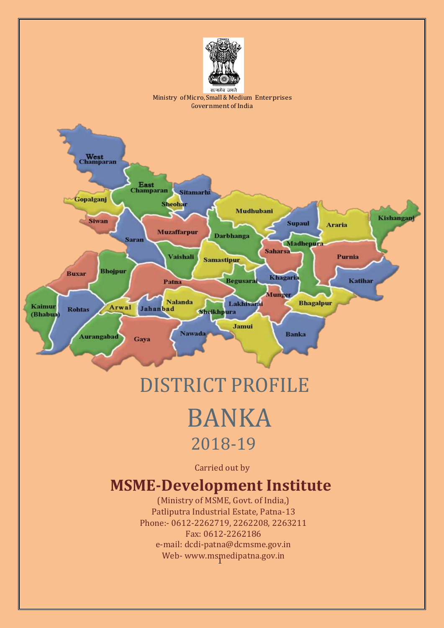

# DISTRICT PROFILE

# BANKA 2018-19

Carried out by

# **MSME-Development Institute**

1 Web- [www.msmedipatna.gov.in](http://www.msmedipatna.gov.in/)(Ministry of MSME, Govt. of India,) Patliputra Industrial Estate, Patna-13 Phone:- 0612-2262719, 2262208, 2263211 Fax: 0612-2262186 e-mail: [dcdi-patna@dcmsme.gov.in](mailto:dcdi-patna@dcmsme.gov.in)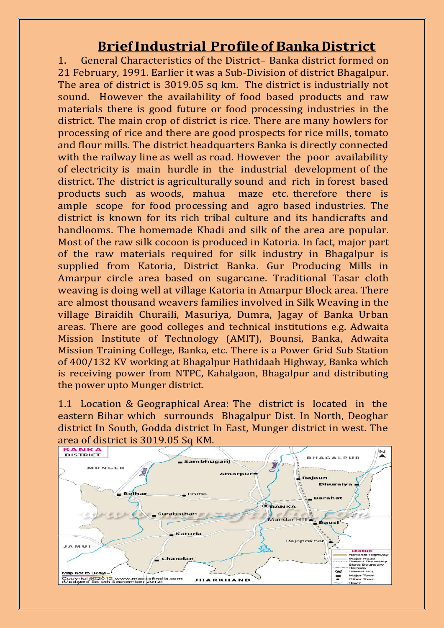## **BriefIndustrial Profileof Banka District**

1. General Characteristics of the District– Banka district formed on 21 February, 1991. Earlier it was a Sub-Division of district Bhagalpur. The area of district is 3019.05 sq km. The district is industrially not sound. However the availability of food based products and raw materials there is good future or food processing industries in the district. The main crop of district is rice. There are many howlers for processing of rice and there are good prospects for rice mills, tomato and flour mills. The district headquarters Banka is directly connected with the railway line as well as road. However the poor availability of electricity is main hurdle in the industrial development of the district. The district is agriculturally sound and rich in forest based products such as woods, mahua maze etc. therefore there is ample scope for food processing and agro based industries. The district is known for its rich tribal culture and its handicrafts and handlooms. The homemade Khadi and silk of the area are popular. Most of the raw silk cocoon is produced in Katoria. In fact, major part of the raw materials required for silk industry in Bhagalpur is supplied from Katoria, District Banka. Gur Producing Mills in Amarpur circle area based on sugarcane. Traditional Tasar cloth weaving is doing well at village Katoria in Amarpur Block area. There are almost thousand weavers families involved in Silk Weaving in the village Biraidih Churaili, Masuriya, Dumra, Jagay of Banka Urban areas. There are good colleges and technical institutions e.g. Adwaita Mission Institute of Technology (AMIT), Bounsi, Banka, Adwaita Mission Training College, Banka, etc. There is a Power Grid Sub Station of 400/132 KV working at Bhagalpur Hathidaah Highway, Banka which is receiving power from NTPC, Kahalgaon, Bhagalpur and distributing the power upto Munger district.

1.1 Location & Geographical Area: The district is located in the eastern Bihar which surrounds Bhagalpur Dist. In North, Deoghar district In South, Godda district In East, Munger district in west. The

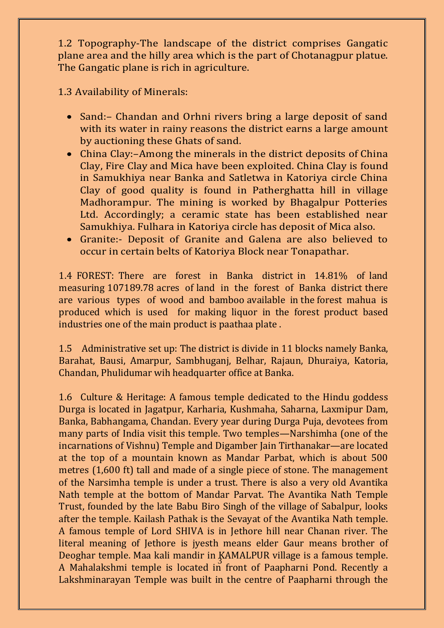1.2 Topography-The landscape of the district comprises Gangatic plane area and the hilly area which is the part of Chotanagpur platue. The Gangatic plane is rich in agriculture.

1.3 Availability of Minerals:

- Sand:– Chandan and Orhni rivers bring a large deposit of sand with its water in rainy reasons the district earns a large amount by auctioning these Ghats of sand.
- China Clay:–Among the minerals in the district deposits of China Clay, Fire Clay and Mica have been exploited. China Clay is found in Samukhiya near Banka and Satletwa in Katoriya circle China Clay of good quality is found in Patherghatta hill in village Madhorampur. The mining is worked by Bhagalpur Potteries Ltd. Accordingly; a ceramic state has been established near Samukhiya. Fulhara in Katoriya circle has deposit of Mica also.
- Granite:- Deposit of Granite and Galena are also believed to occur in certain belts of Katoriya Block near Tonapathar.

1.4 FOREST: There are forest in Banka district in 14.81% of land measuring 107189.78 acres of land in the forest of Banka district there are various types of wood and bamboo available in the forest mahua is produced which is used for making liquor in the forest product based industries one of the main product is paathaa plate .

1.5 Administrative set up: The district is divide in 11 blocks namely Banka, Barahat, Bausi, Amarpur, Sambhuganj, Belhar, Rajaun, Dhuraiya, Katoria, Chandan, Phulidumar wih headquarter office at Banka.

3 Deoghar temple. Maa kali mandir in KAMALPUR village is a famous temple. 1.6 Culture & Heritage: A famous temple dedicated to the Hindu goddess Durga is located in Jagatpur, Karharia, Kushmaha, Saharna, Laxmipur Dam, Banka, Babhangama, Chandan. Every year during Durga Puja, devotees from many parts of India visit this temple. Two temples—Narshimha (one of the incarnations of Vishnu) Temple and Digamber Jain Tirthanakar—are located at the top of a mountain known as Mandar Parbat, which is about 500 metres (1,600 ft) tall and made of a single piece of stone. The management of the Narsimha temple is under a trust. There is also a very old Avantika Nath temple at the bottom of Mandar Parvat. The Avantika Nath Temple Trust, founded by the late Babu Biro Singh of the village of Sabalpur, looks after the temple. Kailash Pathak is the Sevayat of the Avantika Nath temple. A famous temple of Lord SHIVA is in Jethore hill near Chanan river. The literal meaning of Jethore is jyesth means elder Gaur means brother of A Mahalakshmi temple is located in front of Paapharni Pond. Recently a Lakshminarayan Temple was built in the centre of Paapharni through the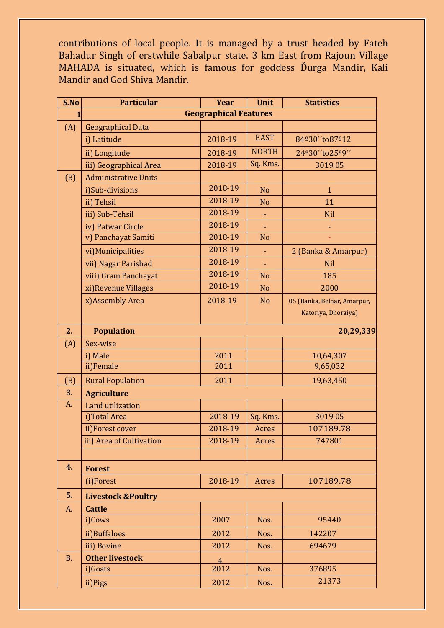contributions of local people. It is managed by a trust headed by Fateh Bahadur Singh of erstwhile Sabalpur state. 3 km East from Rajoun Village MAHADA is situated, which is famous for goddess Ďurga Mandir, Kali Mandir and God Shiva Mandir.

| S.No      | <b>Particular</b>             | <b>Year</b>    | <b>Unit</b>    | <b>Statistics</b>           |  |
|-----------|-------------------------------|----------------|----------------|-----------------------------|--|
| 1         | <b>Geographical Features</b>  |                |                |                             |  |
| (A)       | <b>Geographical Data</b>      |                |                |                             |  |
|           | i) Latitude                   | 2018-19        | <b>EAST</b>    | 84º30"to87º12               |  |
|           | ii) Longitude                 | 2018-19        | <b>NORTH</b>   | 24º30"to25º9"               |  |
|           | iii) Geographical Area        | 2018-19        | Sq. Kms.       | 3019.05                     |  |
| (B)       | <b>Administrative Units</b>   |                |                |                             |  |
|           | i)Sub-divisions               | 2018-19        | <b>No</b>      | $\mathbf{1}$                |  |
|           | ii) Tehsil                    | 2018-19        | N <sub>o</sub> | 11                          |  |
|           | iii) Sub-Tehsil               | 2018-19        | ٠              | <b>Nil</b>                  |  |
|           | iv) Patwar Circle             | 2018-19        |                |                             |  |
|           | v) Panchayat Samiti           | 2018-19        | N <sub>o</sub> |                             |  |
|           | vi) Municipalities            | 2018-19        | ÷,             | 2 (Banka & Amarpur)         |  |
|           | vii) Nagar Parishad           | 2018-19        | ٠              | <b>Nil</b>                  |  |
|           | viii) Gram Panchayat          | 2018-19        | N <sub>o</sub> | 185                         |  |
|           | xi) Revenue Villages          | 2018-19        | <b>No</b>      | 2000                        |  |
|           | x)Assembly Area               | 2018-19        | <b>No</b>      | 05 (Banka, Belhar, Amarpur, |  |
|           |                               |                |                | Katoriya, Dhoraiya)         |  |
| 2.        | <b>Population</b>             |                |                | 20,29,339                   |  |
| (A)       | Sex-wise                      |                |                |                             |  |
|           | i) Male                       | 2011           |                | 10,64,307                   |  |
|           | ii)Female                     | 2011           |                | 9,65,032                    |  |
| (B)       | <b>Rural Population</b>       | 2011           |                | 19,63,450                   |  |
| 3.        | <b>Agriculture</b>            |                |                |                             |  |
| A.        | Land utilization              |                |                |                             |  |
|           | i)Total Area                  | 2018-19        | Sq. Kms.       | 3019.05                     |  |
|           | ii)Forest cover               | 2018-19        | Acres          | 107189.78                   |  |
|           | iii) Area of Cultivation      | 2018-19        | Acres          | 747801                      |  |
|           |                               |                |                |                             |  |
| 4.        | <b>Forest</b>                 |                |                |                             |  |
|           | (i)Forest                     | 2018-19        | Acres          | 107189.78                   |  |
| 5.        | <b>Livestock &amp;Poultry</b> |                |                |                             |  |
| A.        | <b>Cattle</b>                 |                |                |                             |  |
|           | i)Cows                        | 2007           | Nos.           | 95440                       |  |
|           | ii)Buffaloes                  | 2012           | Nos.           | 142207                      |  |
|           | iii) Bovine                   | 2012           | Nos.           | 694679                      |  |
| <b>B.</b> | <b>Other livestock</b>        | $\overline{4}$ |                |                             |  |
|           | i)Goats                       | 2012           | Nos.           | 376895                      |  |
|           | ii)Pigs                       | 2012           | Nos.           | 21373                       |  |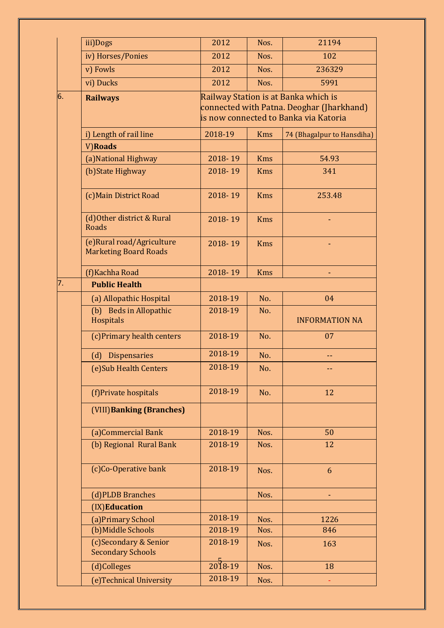|    | iii)Dogs                                                   | 2012                | Nos.       | 21194                                                                                                                      |
|----|------------------------------------------------------------|---------------------|------------|----------------------------------------------------------------------------------------------------------------------------|
|    | iv) Horses/Ponies                                          | 2012                | Nos.       | 102                                                                                                                        |
|    | v) Fowls                                                   | 2012                | Nos.       | 236329                                                                                                                     |
|    | vi) Ducks                                                  | 2012                | Nos.       | 5991                                                                                                                       |
| 6. | <b>Railways</b>                                            |                     |            | Railway Station is at Banka which is<br>connected with Patna. Deoghar (Jharkhand)<br>is now connected to Banka via Katoria |
|    | i) Length of rail line                                     | 2018-19             | <b>Kms</b> | 74 (Bhagalpur to Hansdiha)                                                                                                 |
|    | V)Roads                                                    |                     |            |                                                                                                                            |
|    | (a) National Highway                                       | 2018-19             | <b>Kms</b> | 54.93                                                                                                                      |
|    | (b) State Highway                                          | 2018-19             | <b>Kms</b> | 341                                                                                                                        |
|    | (c) Main District Road                                     | 2018-19             | <b>Kms</b> | 253.48                                                                                                                     |
|    | (d) Other district & Rural<br><b>Roads</b>                 | 2018-19             | <b>Kms</b> |                                                                                                                            |
|    | (e) Rural road/Agriculture<br><b>Marketing Board Roads</b> | 2018-19             | <b>Kms</b> |                                                                                                                            |
|    | (f) Kachha Road                                            | 2018-19             | <b>Kms</b> |                                                                                                                            |
| 7. | <b>Public Health</b>                                       |                     |            |                                                                                                                            |
|    | (a) Allopathic Hospital                                    | 2018-19             | No.        | 04                                                                                                                         |
|    | (b) Beds in Allopathic<br>Hospitals                        | 2018-19             | No.        | <b>INFORMATION NA</b>                                                                                                      |
|    | (c)Primary health centers                                  | 2018-19             | No.        | 07                                                                                                                         |
|    | <b>Dispensaries</b><br>(d)                                 | 2018-19             | No.        | --                                                                                                                         |
|    | (e) Sub Health Centers                                     | 2018-19             | No.        |                                                                                                                            |
|    | (f)Private hospitals                                       | 2018-19             | No.        | 12                                                                                                                         |
|    | (VIII) Banking (Branches)                                  |                     |            |                                                                                                                            |
|    | (a)Commercial Bank                                         | 2018-19             | Nos.       | 50                                                                                                                         |
|    | (b) Regional Rural Bank                                    | 2018-19             | Nos.       | 12                                                                                                                         |
|    | (c)Co-Operative bank                                       | 2018-19             | Nos.       | 6                                                                                                                          |
|    | (d)PLDB Branches                                           |                     | Nos.       |                                                                                                                            |
|    | (IX)Education                                              |                     |            |                                                                                                                            |
|    | (a) Primary School                                         | 2018-19             | Nos.       | 1226                                                                                                                       |
|    | (b) Middle Schools                                         | 2018-19             | Nos.       | 846                                                                                                                        |
|    | (c)Secondary & Senior<br><b>Secondary Schools</b>          | 2018-19             | Nos.       | 163                                                                                                                        |
|    | (d)Colleges                                                | $\frac{5}{2018-19}$ | Nos.       | 18                                                                                                                         |
|    | (e) Technical University                                   | 2018-19             | Nos.       |                                                                                                                            |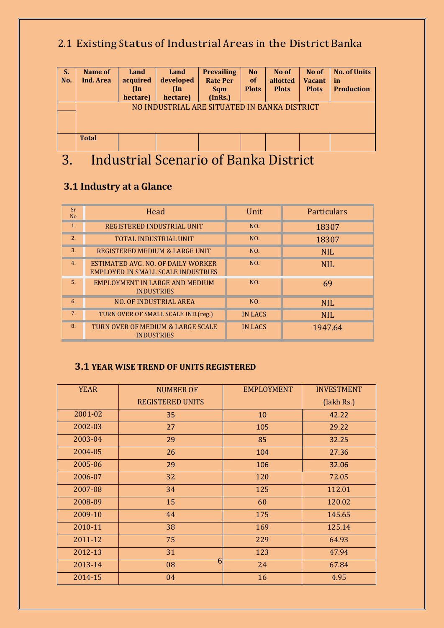# 2.1 Existing Status of Industrial Areas in the District Banka

| S.<br>No. | Name of<br>Ind. Area                         | Land<br>acquired<br>$(\ln$<br>hectare) | Land<br>developed<br>$(\ln$<br>hectare) | <b>Prevailing</b><br><b>Rate Per</b><br><b>Sqm</b><br>(InRs.) | N <sub>o</sub><br><b>of</b><br><b>Plots</b> | No of<br>allotted<br><b>Plots</b> | No of<br><b>Vacant</b><br><b>Plots</b> | <b>No. of Units</b><br>in<br><b>Production</b> |
|-----------|----------------------------------------------|----------------------------------------|-----------------------------------------|---------------------------------------------------------------|---------------------------------------------|-----------------------------------|----------------------------------------|------------------------------------------------|
|           | NO INDUSTRIAL ARE SITUATED IN BANKA DISTRICT |                                        |                                         |                                                               |                                             |                                   |                                        |                                                |
|           | <b>Total</b>                                 |                                        |                                         |                                                               |                                             |                                   |                                        |                                                |
| ⌒         |                                              | $\cdot$ 1 $\sim$<br>$\mathbf{A}$       |                                         | $\mathbf{c}$ m                                                |                                             |                                   |                                        |                                                |

# 3. Industrial Scenario of Banka District

## **3.1 Industry at a Glance**

| Sr<br>N <sub>o</sub> | Head                                                                            | Unit           | Particulars |
|----------------------|---------------------------------------------------------------------------------|----------------|-------------|
| 1.                   | REGISTERED INDUSTRIAL UNIT                                                      | NO.            | 18307       |
| 2.                   | <b>TOTAL INDUSTRIAL UNIT</b>                                                    | NO.            | 18307       |
| 3.                   | REGISTERED MEDIUM & LARGE UNIT                                                  | NO.            | <b>NIL</b>  |
| 4.                   | ESTIMATED AVG. NO. OF DAILY WORKER<br><b>EMPLOYED IN SMALL SCALE INDUSTRIES</b> | NO.            | <b>NIL</b>  |
| 5.                   | EMPLOYMENT IN LARGE AND MEDIUM<br><b>INDUSTRIES</b>                             | NO.            | 69          |
| 6.                   | <b>NO. OF INDUSTRIAL AREA</b>                                                   | NO.            | <b>NIL</b>  |
| 7.                   | TURN OVER OF SMALL SCALE IND. (reg.)                                            | <b>IN LACS</b> | <b>NIL</b>  |
| 8.                   | TURN OVER OF MEDIUM & LARGE SCALE<br><b>INDUSTRIES</b>                          | <b>IN LACS</b> | 1947.64     |

#### **3.1 YEAR WISE TREND OF UNITS REGISTERED**

| <b>YEAR</b> | <b>NUMBER OF</b>        | <b>EMPLOYMENT</b> | <b>INVESTMENT</b> |
|-------------|-------------------------|-------------------|-------------------|
|             | <b>REGISTERED UNITS</b> |                   | (lakh Rs.)        |
| 2001-02     | 35                      | 10                | 42.22             |
| 2002-03     | 27                      | 105               | 29.22             |
| 2003-04     | 29                      | 85                | 32.25             |
| 2004-05     | 26                      | 104               | 27.36             |
| 2005-06     | 29                      | 106               | 32.06             |
| 2006-07     | 32                      | 120               | 72.05             |
| 2007-08     | 34                      | 125               | 112.01            |
| 2008-09     | 15                      | 60                | 120.02            |
| 2009-10     | 44                      | 175               | 145.65            |
| 2010-11     | 38                      | 169               | 125.14            |
| 2011-12     | 75                      | 229               | 64.93             |
| 2012-13     | 31                      | 123               | 47.94             |
| 2013-14     | 6<br>08                 | 24                | 67.84             |
| 2014-15     | 04                      | 16                | 4.95              |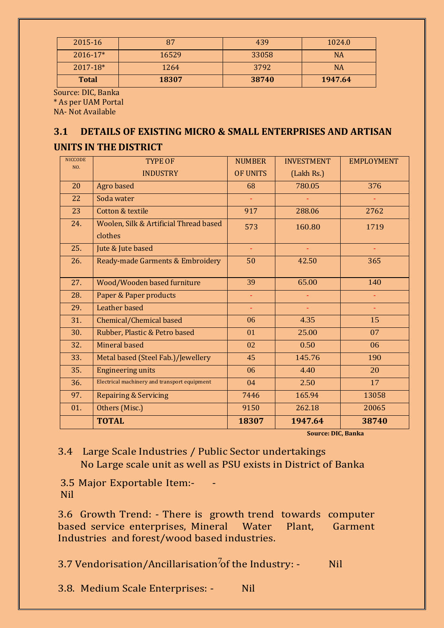| 2015-16      | 87    | 439   | 1024.0    |
|--------------|-------|-------|-----------|
| 2016-17*     | 16529 | 33058 | <b>NA</b> |
| 2017-18*     | 1264  | 3792  | NA        |
| <b>Total</b> | 18307 | 38740 | 1947.64   |

Source: DIC, Banka \* As per UAM Portal NA- Not Available

#### **3.1 DETAILS OF EXISTING MICRO & SMALL ENTERPRISES AND ARTISAN**

#### **UNITS IN THE DISTRICT**

| <b>NICCODE</b><br>NO. | <b>TYPE OF</b>                               | <b>NUMBER</b>   | <b>INVESTMENT</b> | <b>EMPLOYMENT</b> |
|-----------------------|----------------------------------------------|-----------------|-------------------|-------------------|
|                       | <b>INDUSTRY</b>                              | <b>OF UNITS</b> | (Lakh Rs.)        |                   |
| 20                    | Agro based                                   | 68              | 780.05            | 376               |
| 22                    | Soda water                                   |                 |                   |                   |
| 23                    | Cotton & textile                             | 917             | 288.06            | 2762              |
| 24.                   | Woolen, Silk & Artificial Thread based       | 573             | 160.80            | 1719              |
|                       | clothes                                      |                 |                   |                   |
| 25.                   | Jute & Jute based                            | ÷,              |                   |                   |
| 26.                   | Ready-made Garments & Embroidery             | 50              | 42.50             | 365               |
|                       |                                              |                 |                   |                   |
| 27.                   | Wood/Wooden based furniture                  | 39              | 65.00             | 140               |
| 28.                   | Paper & Paper products                       | ÷,              |                   |                   |
| 29.                   | Leather based                                | ÷,              |                   |                   |
| 31.                   | Chemical/Chemical based                      | 06              | 4.35              | 15                |
| 30.                   | Rubber, Plastic & Petro based                | 01              | 25.00             | 07                |
| 32.                   | <b>Mineral based</b>                         | 02              | 0.50              | 06                |
| 33.                   | Metal based (Steel Fab.)/Jewellery           | 45              | 145.76            | 190               |
| 35.                   | <b>Engineering units</b>                     | 06              | 4.40              | 20                |
| 36.                   | Electrical machinery and transport equipment | 04              | 2.50              | 17                |
| 97.                   | <b>Repairing &amp; Servicing</b>             | 7446            | 165.94            | 13058             |
| 01.                   | Others (Misc.)                               | 9150            | 262.18            | 20065             |
|                       | <b>TOTAL</b>                                 | 18307           | 1947.64           | 38740             |

**Source: DIC, Banka**

#### 3.4 Large Scale Industries / Public Sector undertakings No Large scale unit as well as PSU exists in District of Banka

3.5 Major Exportable Item:- - Nil

3.6 Growth Trend: - There is growth trend towards computer based service enterprises, Mineral Water Plant, Garment Industries and forest/wood based industries.

3.7 Vendorisation/Ancillarisation<sup>7</sup>of the Industry:  $\sim$  Nil

3.8. Medium Scale Enterprises: - Nil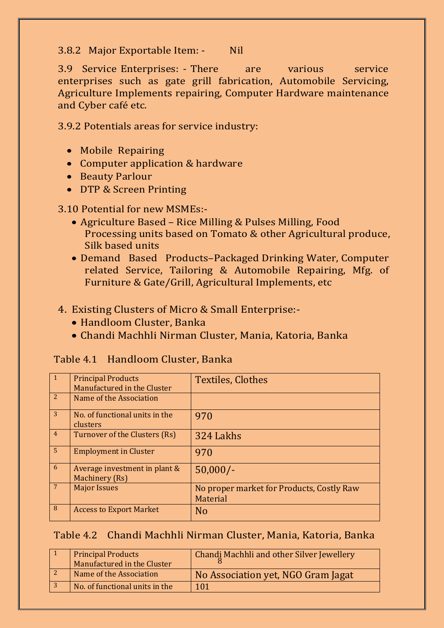#### 3.8.2 Major Exportable Item: - Nil

3.9 Service Enterprises: - There are various service enterprises such as gate grill fabrication, Automobile Servicing, Agriculture Implements repairing, Computer Hardware maintenance and Cyber café etc.

3.9.2 Potentials areas for service industry:

- Mobile Repairing
- Computer application & hardware
- Beauty Parlour
- DTP & Screen Printing

#### 3.10 Potential for new MSMEs:-

- Agriculture Based Rice Milling & Pulses Milling, Food Processing units based on Tomato & other Agricultural produce, Silk based units
- Demand Based Products–Packaged Drinking Water, Computer related Service, Tailoring & Automobile Repairing, Mfg. of Furniture & Gate/Grill, Agricultural Implements, etc

#### 4. Existing Clusters of Micro & Small Enterprise:-

- Handloom Cluster, Banka
- Chandi Machhli Nirman Cluster, Mania, Katoria, Banka

#### Table 4.1 Handloom Cluster, Banka

| $\overline{1}$  | <b>Principal Products</b><br>Manufactured in the Cluster | <b>Textiles, Clothes</b>                              |
|-----------------|----------------------------------------------------------|-------------------------------------------------------|
| 2               | Name of the Association                                  |                                                       |
| 3               | No. of functional units in the<br>clusters               | 970                                                   |
| $\overline{4}$  | Turnover of the Clusters (Rs)                            | 324 Lakhs                                             |
| $5\overline{5}$ | <b>Employment in Cluster</b>                             | 970                                                   |
| 6               | Average investment in plant &<br><b>Machinery</b> (Rs)   | $50,000/-$                                            |
| $7\phantom{.0}$ | <b>Major Issues</b>                                      | No proper market for Products, Costly Raw<br>Material |
| 8               | <b>Access to Export Market</b>                           | N <sub>0</sub>                                        |

#### Table 4.2 Chandi Machhli Nirman Cluster, Mania, Katoria, Banka

| <b>Principal Products</b><br>Manufactured in the Cluster | Chandi Machhli and other Silver Jewellery |
|----------------------------------------------------------|-------------------------------------------|
| Name of the Association                                  | No Association yet, NGO Gram Jagat        |
| No. of functional units in the                           | 101                                       |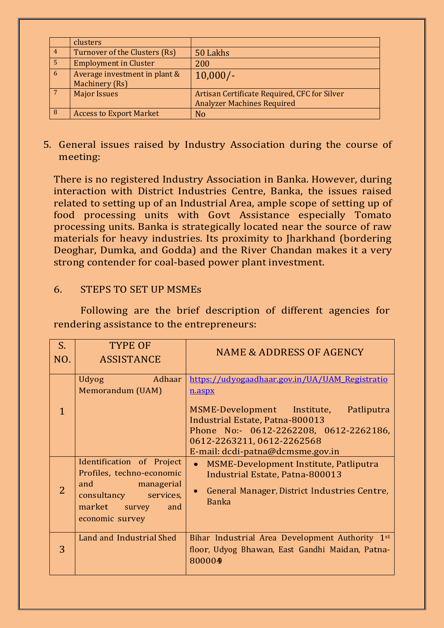|                | clusters                                        |                                                                                   |
|----------------|-------------------------------------------------|-----------------------------------------------------------------------------------|
| 4 <sup>7</sup> | Turnover of the Clusters (Rs)                   | 50 Lakhs                                                                          |
| 5              | <b>Employment in Cluster</b>                    | 200                                                                               |
| 6              | Average investment in plant &<br>Machinery (Rs) | $10,000/-$                                                                        |
|                | <b>Major Issues</b>                             | Artisan Certificate Required, CFC for Silver<br><b>Analyzer Machines Required</b> |
| 8              | <b>Access to Export Market</b>                  | <b>No</b>                                                                         |

#### 5. General issues raised by Industry Association during the course of meeting:

There is no registered Industry Association in Banka. However, during interaction with District Industries Centre, Banka, the issues raised related to setting up of an Industrial Area, ample scope of setting up of food processing units with Govt Assistance especially Tomato processing units. Banka is strategically located near the source of raw materials for heavy industries. Its proximity to Jharkhand (bordering Deoghar, Dumka, and Godda) and the River Chandan makes it a very strong contender for coal-based power plant investment.

#### 6. STEPS TO SET UP MSMEs

Following are the brief description of different agencies for rendering assistance to the entrepreneurs:

| $S_{\cdot}$<br>NO. | <b>TYPE OF</b><br><b>ASSISTANCE</b>                                                                                                             | <b>NAME &amp; ADDRESS OF AGENCY</b>                                                                                                                                                                                                               |
|--------------------|-------------------------------------------------------------------------------------------------------------------------------------------------|---------------------------------------------------------------------------------------------------------------------------------------------------------------------------------------------------------------------------------------------------|
| $\mathbf{1}$       | Adhaar<br><b>Udyog</b><br>Memorandum (UAM)                                                                                                      | https://udyogaadhaar.gov.in/UA/UAM Registratio<br>n.aspx<br>MSME-Development Institute, Patliputra<br>Industrial Estate, Patna-800013<br>Phone No:- 0612-2262208, 0612-2262186,<br>0612-2263211, 0612-2262568<br>E-mail: dcdi-patna@dcmsme.gov.in |
| $\overline{2}$     | Identification of Project<br>Profiles, techno-economic<br>and managerial<br>consultancy<br>services,<br>market survey<br>and<br>economic survey | MSME-Development Institute, Patliputra<br>Industrial Estate, Patna-800013<br>General Manager, District Industries Centre,<br><b>Banka</b>                                                                                                         |
| 3                  | Land and Industrial Shed                                                                                                                        | Bihar Industrial Area Development Authority 1st<br>floor, Udyog Bhawan, East Gandhi Maidan, Patna-<br>800004                                                                                                                                      |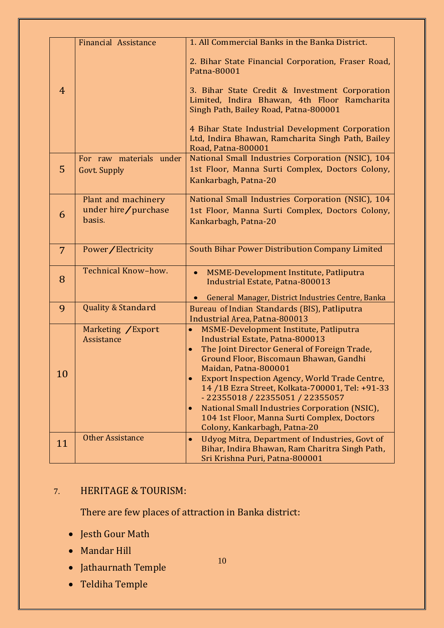|                | Financial Assistance                           | 1. All Commercial Banks in the Banka District.                                                                                          |
|----------------|------------------------------------------------|-----------------------------------------------------------------------------------------------------------------------------------------|
|                |                                                | 2. Bihar State Financial Corporation, Fraser Road,<br>Patna-80001                                                                       |
| $\overline{4}$ |                                                | 3. Bihar State Credit & Investment Corporation<br>Limited, Indira Bhawan, 4th Floor Ramcharita<br>Singh Path, Bailey Road, Patna-800001 |
|                |                                                | 4 Bihar State Industrial Development Corporation<br>Ltd, Indira Bhawan, Ramcharita Singh Path, Bailey<br><b>Road, Patna-800001</b>      |
| 5              | For raw materials under<br><b>Govt. Supply</b> | National Small Industries Corporation (NSIC), 104<br>1st Floor, Manna Surti Complex, Doctors Colony,<br>Kankarbagh, Patna-20            |
|                |                                                |                                                                                                                                         |
|                | Plant and machinery<br>under hire/purchase     | National Small Industries Corporation (NSIC), 104<br>1st Floor, Manna Surti Complex, Doctors Colony,                                    |
| 6              | basis.                                         | Kankarbagh, Patna-20                                                                                                                    |
|                |                                                |                                                                                                                                         |
| $\overline{7}$ | Power/Electricity                              | South Bihar Power Distribution Company Limited                                                                                          |
| 8              | Technical Know-how.                            | MSME-Development Institute, Patliputra<br>$\bullet$<br><b>Industrial Estate, Patna-800013</b>                                           |
|                |                                                | General Manager, District Industries Centre, Banka                                                                                      |
| 9              | <b>Quality &amp; Standard</b>                  | Bureau of Indian Standards (BIS), Patliputra<br>Industrial Area, Patna-800013                                                           |
|                | Marketing / Export                             | MSME-Development Institute, Patliputra                                                                                                  |
|                | Assistance                                     | <b>Industrial Estate, Patna-800013</b><br>The Joint Director General of Foreign Trade,<br>$\bullet$                                     |
|                |                                                | Ground Floor, Biscomaun Bhawan, Gandhi                                                                                                  |
| 10             |                                                | Maidan, Patna-800001<br><b>Export Inspection Agency, World Trade Centre,</b>                                                            |
|                |                                                | 14 /1B Ezra Street, Kolkata-700001, Tel: +91-33                                                                                         |
|                |                                                | - 22355018 / 22355051 / 22355057<br>National Small Industries Corporation (NSIC),<br>$\bullet$                                          |
|                |                                                | 104 1st Floor, Manna Surti Complex, Doctors                                                                                             |
|                |                                                | Colony, Kankarbagh, Patna-20                                                                                                            |
| 11             | <b>Other Assistance</b>                        | Udyog Mitra, Department of Industries, Govt of<br>$\bullet$<br>Bihar, Indira Bhawan, Ram Charitra Singh Path,                           |
|                |                                                | Sri Krishna Puri, Patna-800001                                                                                                          |

#### 7. HERITAGE & TOURISM:

There are few places of attraction in Banka district:

10

- Jesth Gour Math
- Mandar Hill
- Jathaurnath Temple
- Teldiha Temple